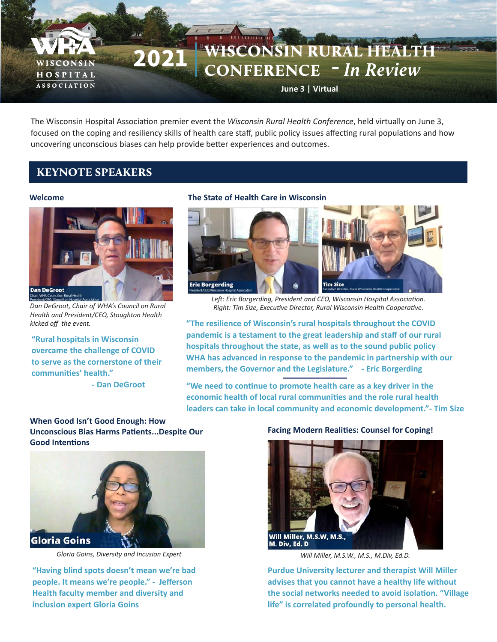# 2021 WISCONSIN RURAL HEALTH CONFERENCE -*In Review*

**June 3 | Virtual**

The Wisconsin Hospital Association premier event the *Wisconsin Rural Health Conference*, held virtually on June 3, focused on the coping and resiliency skills of health care staff, public policy issues affecting rural populations and how uncovering unconscious biases can help provide better experiences and outcomes.

# KEYNOTE SPEAKERS

#### **Welcome**

WISCONSIN HOSPITAL **ASSOCIATION** 



*Dan DeGroot, Chair of WHA's Council on Rural Health and President/CEO, Stoughton Health kicked off the event.*

**"Rural hospitals in Wisconsin overcame the challenge of COVID to serve as the cornerstone of their communities' health." - Dan DeGroot**

#### **The State of Health Care in Wisconsin**



*Left: Eric Borgerding, President and CEO, Wisconsin Hospital Association. Right: Tim Size, Executive Director, Rural Wisconsin Health Cooperative.* 

**"The resilience of Wisconsin's rural hospitals throughout the COVID pandemic is a testament to the great leadership and staff of our rural hospitals throughout the state, as well as to the sound public policy WHA has advanced in response to the pandemic in partnership with our members, the Governor and the Legislature." - Eric Borgerding**

**"We need to continue to promote health care as a key driver in the economic health of local rural communities and the role rural health leaders can take in local community and economic development."- Tim Size**

#### **When Good Isn't Good Enough: How Unconscious Bias Harms Patients...Despite Our Good Intentions**



*Gloria Goins, Diversity and Incusion Expert*

**"Having blind spots doesn't mean we're bad people. It means we're people." - Jefferson Health faculty member and diversity and inclusion expert Gloria Goins**

#### **Facing Modern Realities: Counsel for Coping!**



*Will Miller, M.S.W., M.S., M.Div, Ed.D.*

**Purdue University lecturer and therapist Will Miller advises that you cannot have a healthy life without the social networks needed to avoid isolation. "Village life" is correlated profoundly to personal health.**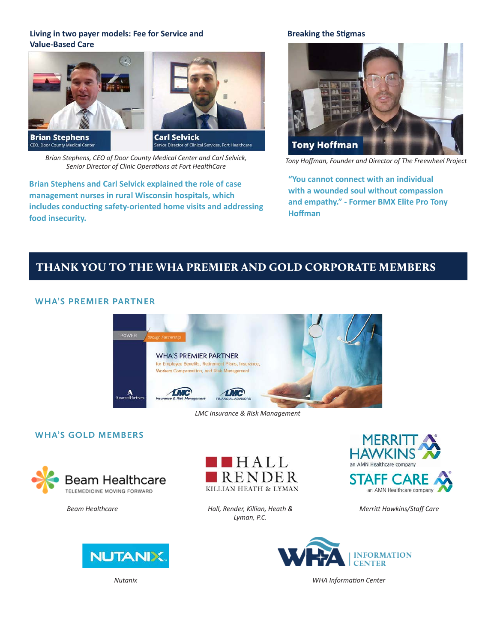## **Living in two payer models: Fee for Service and Value-Based Care**



**Brian Stephens**<br>CEO, Door County Medical Center



*Brian Stephens, CEO of Door County Medical Center and Carl Selvick, Senior Director of Clinic Operations at Fort HealthCare* 

**Brian Stephens and Carl Selvick explained the role of case management nurses in rural Wisconsin hospitals, which includes conducting safety-oriented home visits and addressing food insecurity.**

## **Breaking the Stigmas**



*Tony Hoffman, Founder and Director of The Freewheel Project*

**"You cannot connect with an individual with a wounded soul without compassion and empathy." - Former BMX Elite Pro Tony Hoffman**

# THANK YOU TO THE WHA PREMIER AND GOLD CORPORATE MEMBERS

## **WHA'S PREMIER PARTNER**



*LMC Insurance & Risk Management*

## **WHA'S GOLD MEMBERS**



*Beam Healthcare*





*Hall, Render, Killian, Heath & Lyman, P.C.*



*Merritt Hawkins/Staff Care*



*WHA Information Center*

*Nutanix*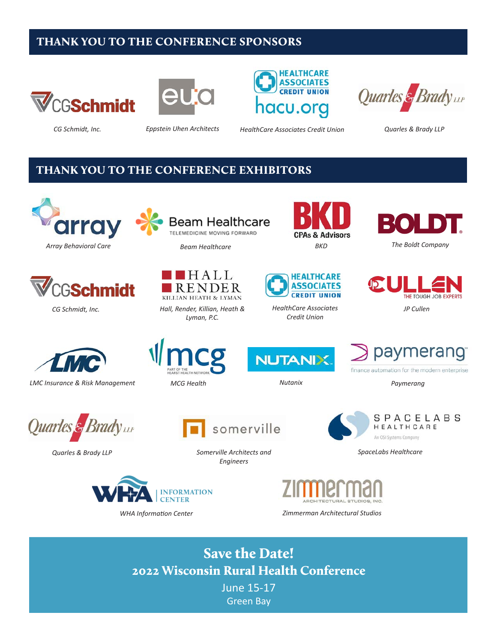# THANK YOU TO THE CONFERENCE SPONSORS









*CG Schmidt, Inc. Eppstein Uhen Architects HealthCare Associates Credit Union Quarles & Brady LLP*

## THANK YOU TO THE CONFERENCE EXHIBITORS







*Beam Healthcare*



*Lyman, P.C.*





*HealthCare Associates Credit Union*





*JP Cullen*



*LMC Insurance & Risk Management Nutanix*





paymerang finance automation for the modern enterprise

*MCG Health Paymerang*



*Quarles & Brady LLP*



*WHA Information Center*



*Somerville Architects and Engineers*





*Zimmerman Architectural Studios*

Save the Date! 2022 Wisconsin Rural Health Conference

June 15-17 Green Bay